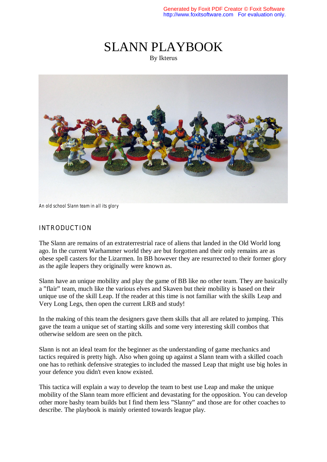# SLANN PLAYBOOK By Ikterus



*An old school Slann team in all its glory*

#### INTRODUCTION

The Slann are remains of an extraterrestrial race of aliens that landed in the Old World long ago. In the current Warhammer world they are but forgotten and their only remains are as obese spell casters for the Lizarmen. In BB however they are resurrected to their former glory as the agile leapers they originally were known as.

Slann have an unique mobility and play the game of BB like no other team. They are basically a "flair" team, much like the various elves and Skaven but their mobility is based on their unique use of the skill Leap. If the reader at this time is not familiar with the skills Leap and Very Long Legs, then open the current LRB and study!

In the making of this team the designers gave them skills that all are related to jumping. This gave the team a unique set of starting skills and some very interesting skill combos that otherwise seldom are seen on the pitch.

Slann is not an ideal team for the beginner as the understanding of game mechanics and tactics required is pretty high. Also when going up against a Slann team with a skilled coach one has to rethink defensive strategies to included the massed Leap that might use big holes in your defence you didn't even know existed.

This tactica will explain a way to develop the team to best use Leap and make the unique mobility of the Slann team more efficient and devastating for the opposition. You can develop other more bashy team builds but I find them less "Slanny" and those are for other coaches to describe. The playbook is mainly oriented towards league play.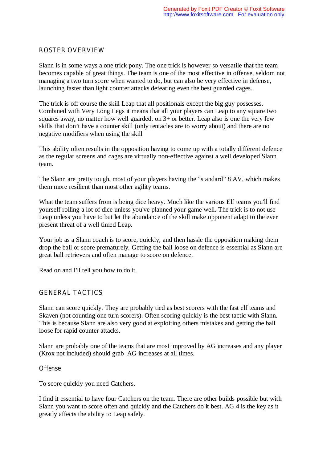## ROSTER OVERVIEW

Slann is in some ways a one trick pony. The one trick is however so versatile that the team becomes capable of great things. The team is one of the most effective in offense, seldom not managing a two turn score when wanted to do, but can also be very effective in defense, launching faster than light counter attacks defeating even the best guarded cages.

The trick is off course the skill Leap that all positionals except the big guy possesses. Combined with Very Long Legs it means that all your players can Leap to any square two squares away, no matter how well guarded, on 3+ or better. Leap also is one the very few skills that don't have a counter skill (only tentacles are to worry about) and there are no negative modifiers when using the skill

This ability often results in the opposition having to come up with a totally different defence as the regular screens and cages are virtually non-effective against a well developed Slann team.

The Slann are pretty tough, most of your players having the "standard" 8 AV, which makes them more resilient than most other agility teams.

What the team suffers from is being dice heavy. Much like the various Elf teams you'll find yourself rolling a lot of dice unless you've planned your game well. The trick is to not use Leap unless you have to but let the abundance of the skill make opponent adapt to the ever present threat of a well timed Leap.

Your job as a Slann coach is to score, quickly, and then hassle the opposition making them drop the ball or score prematurely. Getting the ball loose on defence is essential as Slann are great ball retrievers and often manage to score on defence.

Read on and I'll tell you how to do it.

#### GENERAL TACTICS

Slann can score quickly. They are probably tied as best scorers with the fast elf teams and Skaven (not counting one turn scorers). Often scoring quickly is the best tactic with Slann. This is because Slann are also very good at exploiting others mistakes and getting the ball loose for rapid counter attacks.

Slann are probably one of the teams that are most improved by AG increases and any player (Krox not included) should grab AG increases at all times.

#### **Offense**

To score quickly you need Catchers.

I find it essential to have four Catchers on the team. There are other builds possible but with Slann you want to score often and quickly and the Catchers do it best. AG 4 is the key as it greatly affects the ability to Leap safely.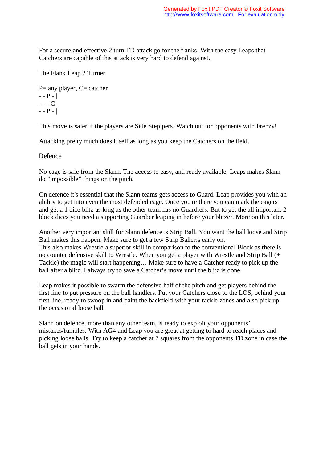For a secure and effective 2 turn TD attack go for the flanks. With the easy Leaps that Catchers are capable of this attack is very hard to defend against.

The Flank Leap 2 Turner

 $P=$  any player,  $C=$  catcher  $- - P - |$  $- - C$  |  $- - P - |$ 

This move is safer if the players are Side Step:pers. Watch out for opponents with Frenzy!

Attacking pretty much does it self as long as you keep the Catchers on the field.

#### **Defence**

No cage is safe from the Slann. The access to easy, and ready available, Leaps makes Slann do "impossible" things on the pitch.

On defence it's essential that the Slann teams gets access to Guard. Leap provides you with an ability to get into even the most defended cage. Once you're there you can mark the cagers and get a 1 dice blitz as long as the other team has no Guard:ers. But to get the all important 2 block dices you need a supporting Guard:er leaping in before your blitzer. More on this later.

Another very important skill for Slann defence is Strip Ball. You want the ball loose and Strip Ball makes this happen. Make sure to get a few Strip Baller:s early on. This also makes Wrestle a superior skill in comparison to the conventional Block as there is no counter defensive skill to Wrestle. When you get a player with Wrestle and Strip Ball (+ Tackle) the magic will start happening… Make sure to have a Catcher ready to pick up the ball after a blitz. I always try to save a Catcher's move until the blitz is done.

Leap makes it possible to swarm the defensive half of the pitch and get players behind the first line to put pressure on the ball handlers. Put your Catchers close to the LOS, behind your first line, ready to swoop in and paint the backfield with your tackle zones and also pick up the occasional loose ball.

Slann on defence, more than any other team, is ready to exploit your opponents' mistakes/fumbles. With AG4 and Leap you are great at getting to hard to reach places and picking loose balls. Try to keep a catcher at 7 squares from the opponents TD zone in case the ball gets in your hands.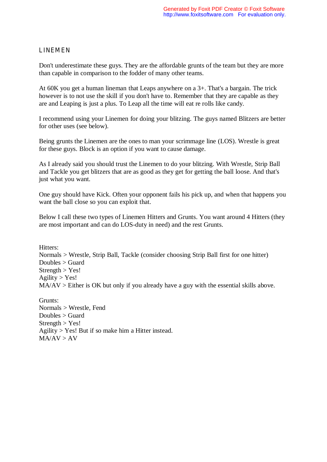## LINEMEN

Don't underestimate these guys. They are the affordable grunts of the team but they are more than capable in comparison to the fodder of many other teams.

At 60K you get a human lineman that Leaps anywhere on a 3+. That's a bargain. The trick however is to not use the skill if you don't have to. Remember that they are capable as they are and Leaping is just a plus. To Leap all the time will eat re rolls like candy.

I recommend using your Linemen for doing your blitzing. The guys named Blitzers are better for other uses (see below).

Being grunts the Linemen are the ones to man your scrimmage line (LOS). Wrestle is great for these guys. Block is an option if you want to cause damage.

As I already said you should trust the Linemen to do your blitzing. With Wrestle, Strip Ball and Tackle you get blitzers that are as good as they get for getting the ball loose. And that's just what you want.

One guy should have Kick. Often your opponent fails his pick up, and when that happens you want the ball close so you can exploit that.

Below I call these two types of Linemen Hitters and Grunts. You want around 4 Hitters (they are most important and can do LOS-duty in need) and the rest Grunts.

Hitters: Normals > Wrestle, Strip Ball, Tackle (consider choosing Strip Ball first for one hitter) Doubles > Guard  $Strength > Yes!$ Agility  $>$  Yes!  $MA/AV > E$  ither is OK but only if you already have a guy with the essential skills above.

Grunts: Normals > Wrestle, Fend Doubles > Guard  $Streneth > Yes!$ Agility > Yes! But if so make him a Hitter instead.  $MA/AV > AV$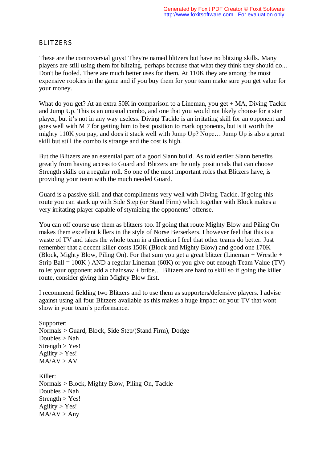#### BLITZERS

These are the controversial guys! They're named blitzers but have no blitzing skills. Many players are still using them for blitzing, perhaps because that what they think they should do... Don't be fooled. There are much better uses for them. At 110K they are among the most expensive rookies in the game and if you buy them for your team make sure you get value for your money.

What do you get? At an extra 50K in comparison to a Lineman, you get + MA, Diving Tackle and Jump Up. This is an unusual combo, and one that you would not likely choose for a star player, but it's not in any way useless. Diving Tackle is an irritating skill for an opponent and goes well with M 7 for getting him to best position to mark opponents, but is it worth the mighty 110K you pay, and does it stack well with Jump Up? Nope… Jump Up is also a great skill but still the combo is strange and the cost is high.

But the Blitzers are an essential part of a good Slann build. As told earlier Slann benefits greatly from having access to Guard and Blitzers are the only positionals that can choose Strength skills on a regular roll. So one of the most important roles that Blitzers have, is providing your team with the much needed Guard.

Guard is a passive skill and that compliments very well with Diving Tackle. If going this route you can stack up with Side Step (or Stand Firm) which together with Block makes a very irritating player capable of stymieing the opponents' offense.

You can off course use them as blitzers too. If going that route Mighty Blow and Piling On makes them excellent killers in the style of Norse Berserkers. I however feel that this is a waste of TV and takes the whole team in a direction I feel that other teams do better. Just remember that a decent killer costs 150K (Block and Mighty Blow) and good one 170K (Block, Mighty Blow, Piling On). For that sum you get a great blitzer (Lineman + Wrestle + Strip Ball = 100K ) AND a regular Lineman (60K) or you give out enough Team Value (TV) to let your opponent add a chainsaw + bribe… Blitzers are hard to skill so if going the killer route, consider giving him Mighty Blow first.

I recommend fielding two Blitzers and to use them as supporters/defensive players. I advise against using all four Blitzers available as this makes a huge impact on your TV that wont show in your team's performance.

Supporter: Normals > Guard, Block, Side Step/(Stand Firm), Dodge Doubles > Nah  $Strength > Yes!$  $A$ gility > Yes!  $MA/AV > AV$ Killer: Normals > Block, Mighty Blow, Piling On, Tackle Doubles > Nah  $Strength > Yes!$  $Aqility > Yes!$  $MA/AV > Any$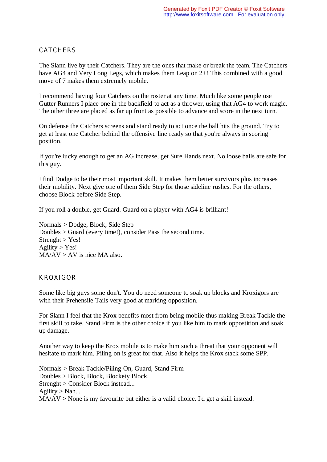## **CATCHERS**

The Slann live by their Catchers. They are the ones that make or break the team. The Catchers have AG4 and Very Long Legs, which makes them Leap on 2+! This combined with a good move of 7 makes them extremely mobile.

I recommend having four Catchers on the roster at any time. Much like some people use Gutter Runners I place one in the backfield to act as a thrower, using that AG4 to work magic. The other three are placed as far up front as possible to advance and score in the next turn.

On defense the Catchers screens and stand ready to act once the ball hits the ground. Try to get at least one Catcher behind the offensive line ready so that you're always in scoring position.

If you're lucky enough to get an AG increase, get Sure Hands next. No loose balls are safe for this guy.

I find Dodge to be their most important skill. It makes them better survivors plus increases their mobility. Next give one of them Side Step for those sideline rushes. For the others, choose Block before Side Step.

If you roll a double, get Guard. Guard on a player with AG4 is brilliant!

Normals > Dodge, Block, Side Step Doubles > Guard (every time!), consider Pass the second time.  $Strenight > Yes!$  $A$ gility > Yes!  $MA/AV > AV$  is nice MA also.

#### KROXIGOR

Some like big guys some don't. You do need someone to soak up blocks and Kroxigors are with their Prehensile Tails very good at marking opposition.

For Slann I feel that the Krox benefits most from being mobile thus making Break Tackle the first skill to take. Stand Firm is the other choice if you like him to mark oppostition and soak up damage.

Another way to keep the Krox mobile is to make him such a threat that your opponent will hesitate to mark him. Piling on is great for that. Also it helps the Krox stack some SPP.

Normals > Break Tackle/Piling On, Guard, Stand Firm Doubles > Block, Block, Blockety Block. Strenght > Consider Block instead... Agility  $>$  Nah... MA/AV > None is my favourite but either is a valid choice. I'd get a skill instead.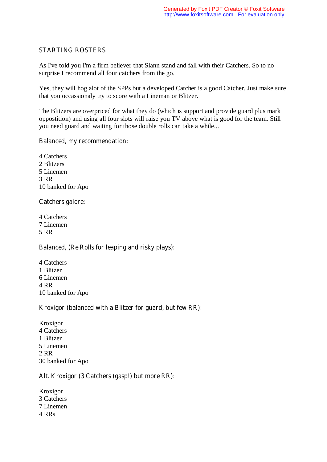# STARTING ROSTERS

As I've told you I'm a firm believer that Slann stand and fall with their Catchers. So to no surprise I recommend all four catchers from the go.

Yes, they will hog alot of the SPPs but a developed Catcher is a good Catcher. Just make sure that you occassionaly try to score with a Lineman or Blitzer.

The Blitzers are overpriced for what they do (which is support and provide guard plus mark oppostition) and using all four slots will raise you TV above what is good for the team. Still you need guard and waiting for those double rolls can take a while...

## Balanced, my recommendation:

4 Catchers 2 Blitzers 5 Linemen 3 RR 10 banked for Apo

# Catchers galore:

4 Catchers 7 Linemen 5 RR

# Balanced, (Re Rolls for leaping and risky plays):

4 Catchers 1 Blitzer 6 Linemen 4 RR 10 banked for Apo

# Kroxigor (balanced with a Blitzer for guard, but few RR):

Kroxigor 4 Catchers 1 Blitzer 5 Linemen 2 RR 30 banked for Apo

# Alt. Kroxigor (3 Catchers (gasp!) but more RR):

Kroxigor 3 Catchers 7 Linemen 4 RRs